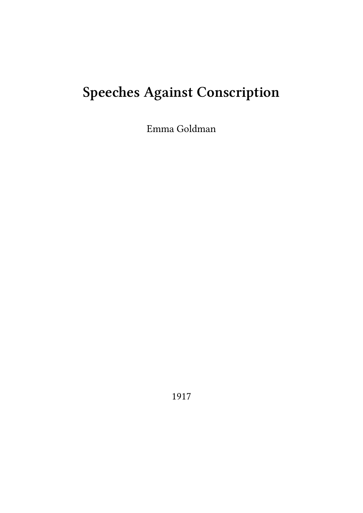# **Speeches Against Conscription**

Emma Goldman

1917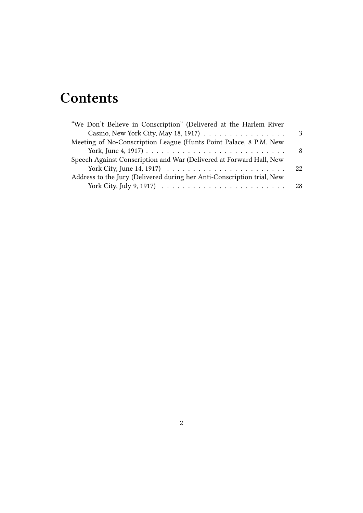## **Contents**

| "We Don't Believe in Conscription" (Delivered at the Harlem River         |   |
|---------------------------------------------------------------------------|---|
| Casino, New York City, May 18, 1917) $\ldots \ldots \ldots \ldots \ldots$ | 3 |
| Meeting of No-Conscription League (Hunts Point Palace, 8 P.M. New         |   |
|                                                                           |   |
| Speech Against Conscription and War (Delivered at Forward Hall, New       |   |
|                                                                           |   |
| Address to the Jury (Delivered during her Anti-Conscription trial, New    |   |
|                                                                           |   |
|                                                                           |   |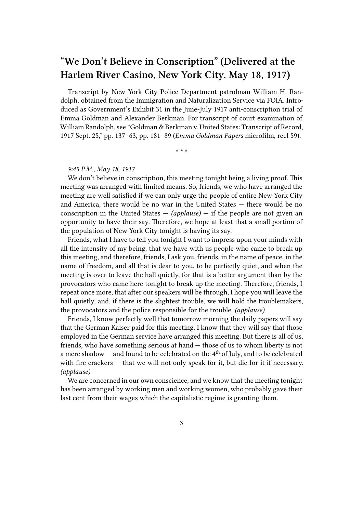### <span id="page-2-0"></span>**"We Don't Believe in Conscription" (Delivered at the Harlem River Casino, New York City, May 18, 1917)**

Transcript by New York City Police Department patrolman William H. Randolph, obtained from the Immigration and Naturalization Service via FOIA. Introduced as Government's Exhibit 31 in the June-July 1917 anti-conscription trial of Emma Goldman and Alexander Berkman. For transcript of court examination of William Randolph, see "Goldman & Berkman v. United States: Transcript of Record, 1917 Sept. 25," pp. 137–63, pp. 181–89 (*Emma Goldman Papers* microfilm, reel 59).

\* \* \*

#### *9:45 P.M., May 18, 1917*

We don't believe in conscription, this meeting tonight being a living proof. This meeting was arranged with limited means. So, friends, we who have arranged the meeting are well satisfied if we can only urge the people of entire New York City and America, there would be no war in the United States — there would be no conscription in the United States — *(applause)* — if the people are not given an opportunity to have their say. Therefore, we hope at least that a small portion of the population of New York City tonight is having its say.

Friends, what I have to tell you tonight I want to impress upon your minds with all the intensity of my being, that we have with us people who came to break up this meeting, and therefore, friends, I ask you, friends, in the name of peace, in the name of freedom, and all that is dear to you, to be perfectly quiet, and when the meeting is over to leave the hall quietly, for that is a better argument than by the provocators who came here tonight to break up the meeting. Therefore, friends, I repeat once more, that after our speakers will be through, I hope you will leave the hall quietly, and, if there is the slightest trouble, we will hold the troublemakers, the provocators and the police responsible for the trouble. *(applause)*

Friends, I know perfectly well that tomorrow morning the daily papers will say that the German Kaiser paid for this meeting. I know that they will say that those employed in the German service have arranged this meeting. But there is all of us, friends, who have something serious at hand — those of us to whom liberty is not a mere shadow  $-$  and found to be celebrated on the  $4<sup>th</sup>$  of July, and to be celebrated with fire crackers — that we will not only speak for it, but die for it if necessary. *(applause)*

We are concerned in our own conscience, and we know that the meeting tonight has been arranged by working men and working women, who probably gave their last cent from their wages which the capitalistic regime is granting them.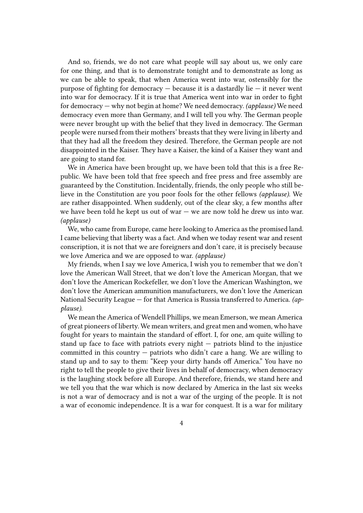And so, friends, we do not care what people will say about us, we only care for one thing, and that is to demonstrate tonight and to demonstrate as long as we can be able to speak, that when America went into war, ostensibly for the purpose of fighting for democracy — because it is a dastardly lie — it never went into war for democracy. If it is true that America went into war in order to fight for democracy — why not begin at home? We need democracy. *(applause)* We need democracy even more than Germany, and I will tell you why. The German people were never brought up with the belief that they lived in democracy. The German people were nursed from their mothers' breasts that they were living in liberty and that they had all the freedom they desired. Therefore, the German people are not disappointed in the Kaiser. They have a Kaiser, the kind of a Kaiser they want and are going to stand for.

We in America have been brought up, we have been told that this is a free Republic. We have been told that free speech and free press and free assembly are guaranteed by the Constitution. Incidentally, friends, the only people who still believe in the Constitution are you poor fools for the other fellows *(applause)*. We are rather disappointed. When suddenly, out of the clear sky, a few months after we have been told he kept us out of war  $-$  we are now told he drew us into war. *(applause)*

We, who came from Europe, came here looking to America as the promised land. I came believing that liberty was a fact. And when we today resent war and resent conscription, it is not that we are foreigners and don't care, it is precisely because we love America and we are opposed to war. *(applause)*

My friends, when I say we love America, I wish you to remember that we don't love the American Wall Street, that we don't love the American Morgan, that we don't love the American Rockefeller, we don't love the American Washington, we don't love the American ammunition manufacturers, we don't love the American National Security League — for that America is Russia transferred to America. *(applause)*.

We mean the America of Wendell Phillips, we mean Emerson, we mean America of great pioneers of liberty. We mean writers, and great men and women, who have fought for years to maintain the standard of effort. I, for one, am quite willing to stand up face to face with patriots every night — patriots blind to the injustice committed in this country — patriots who didn't care a hang. We are willing to stand up and to say to them: "Keep your dirty hands off America." You have no right to tell the people to give their lives in behalf of democracy, when democracy is the laughing stock before all Europe. And therefore, friends, we stand here and we tell you that the war which is now declared by America in the last six weeks is not a war of democracy and is not a war of the urging of the people. It is not a war of economic independence. It is a war for conquest. It is a war for military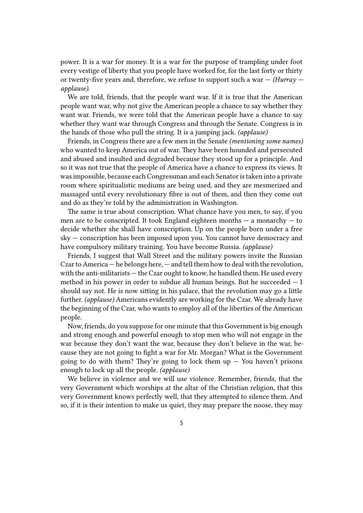power. It is a war for money. It is a war for the purpose of trampling under foot every vestige of liberty that you people have worked for, for the last forty or thirty or twenty-five years and, therefore, we refuse to support such a war — *(Hurray applause)*.

We are told, friends, that the people want war. If it is true that the American people want war, why not give the American people a chance to say whether they want war. Friends, we were told that the American people have a chance to say whether they want war through Congress and through the Senate. Congress is in the hands of those who pull the string. It is a jumping jack. *(applause)*

Friends, in Congress there are a few men in the Senate *(mentioning some names)* who wanted to keep America out of war. They have been hounded and persecuted and abused and insulted and degraded because they stood up for a principle. And so it was not true that the people of America have a chance to express its views. It was impossible, because each Congressman and each Senator is taken into a private room where spiritualistic mediums are being used, and they are mesmerized and massaged until every revolutionary fibre is out of them, and then they come out and do as they're told by the administration in Washington.

The same is true about conscription. What chance have you men, to say, if you men are to be conscripted. It took England eighteen months  $-$  a monarchy  $-$  to decide whether she shall have conscription. Up on the people born under a free sky — conscription has been imposed upon you. You cannot have democracy and have compulsory military training. You have become Russia. *(applause)*

Friends, I suggest that Wall Street and the military powers invite the Russian Czar to America — he belongs here, — and tell them how to deal with the revolution, with the anti-militarists — the Czar ought to know, he handled them. He used every method in his power in order to subdue all human beings. But he succeeded  $-1$ should say not. He is now sitting in his palace, that the revolution may go a little further. *(applause)* Americans evidently are working for the Czar. We already have the beginning of the Czar, who wants to employ all of the liberties of the American people.

Now, friends, do you suppose for one minute that this Government is big enough and strong enough and powerful enough to stop men who will not engage in the war because they don't want the war, because they don't believe in the war, because they are not going to fight a war for Mr. Morgan? What is the Government going to do with them? They're going to lock them  $up - You$  haven't prisons enough to lock up all the people. *(applause)*

We believe in violence and we will use violence. Remember, friends, that the very Government which worships at the altar of the Christian religion, that this very Government knows perfectly well, that they attempted to silence them. And so, if it is their intention to make us quiet, they may prepare the noose, they may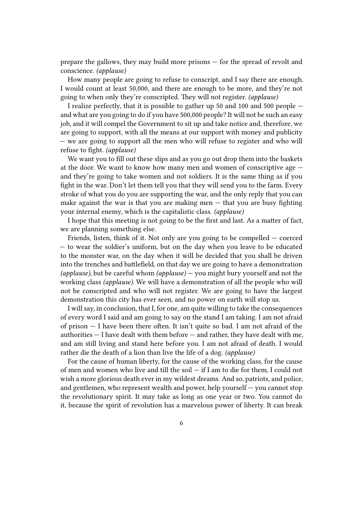prepare the gallows, they may build more prisons — for the spread of revolt and conscience. *(applause)*

How many people are going to refuse to conscript, and I say there are enough. I would count at least 50,000, and there are enough to be more, and they're not going to when only they're conscripted. They will not register. *(applause)*

I realize perfectly, that it is possible to gather up 50 and 100 and 500 people and what are you going to do if you have 500,000 people? It will not be such an easy job, and it will compel the Government to sit up and take notice and, therefore, we are going to support, with all the means at our support with money and publicity — we are going to support all the men who will refuse to register and who will refuse to fight. *(applause)*

We want you to fill out these slips and as you go out drop them into the baskets at the door. We want to know how many men and women of conscriptive age and they're going to take women and not soldiers. It is the same thing as if you fight in the war. Don't let them tell you that they will send you to the farm. Every stroke of what you do you are supporting the war, and the only reply that you can make against the war is that you are making men  $-$  that you are busy fighting your internal enemy, which is the capitalistic class. *(applause)*

I hope that this meeting is not going to be the first and last. As a matter of fact, we are planning something else.

Friends, listen, think of it. Not only are you going to be compelled — coerced — to wear the soldier's uniform, but on the day when you leave to be educated to the monster war, on the day when it will be decided that you shall be driven into the trenches and battlefield, on that day we are going to have a demonstration *(applause)*, but be careful whom *(applause)* — you might bury yourself and not the working class *(applause)*. We will have a demonstration of all the people who will not be conscripted and who will not register. We are going to have the largest demonstration this city has ever seen, and no power on earth will stop us.

I will say, in conclusion, that I, for one, am quite willing to take the consequences of every word I said and am going to say on the stand I am taking. I am not afraid of prison — I have been there often. It isn't quite so bad. I am not afraid of the authorities — I have dealt with them before — and rather, they have dealt with me, and am still living and stand here before you. I am not afraid of death. I would rather die the death of a lion than live the life of a dog. *(applause)*

For the cause of human liberty, for the cause of the working class, for the cause of men and women who live and till the soil — if I am to die for them, I could not wish a more glorious death ever in my wildest dreams. And so, patriots, and police, and gentlemen, who represent wealth and power, help yourself — you cannot stop the revolutionary spirit. It may take as long as one year or two. You cannot do it, because the spirit of revolution has a marvelous power of liberty. It can break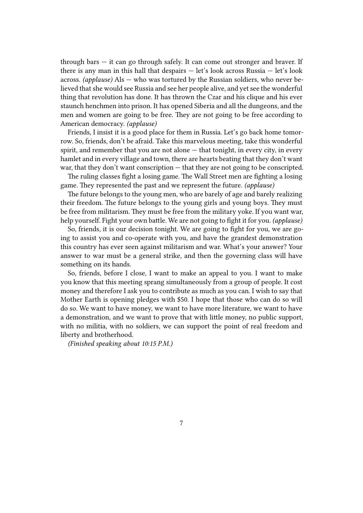through bars — it can go through safely. It can come out stronger and braver. If there is any man in this hall that despairs — let's look across Russia — let's look across. *(applause)* Als — who was tortured by the Russian soldiers, who never believed that she would see Russia and see her people alive, and yet see the wonderful thing that revolution has done. It has thrown the Czar and his clique and his ever staunch henchmen into prison. It has opened Siberia and all the dungeons, and the men and women are going to be free. They are not going to be free according to American democracy. *(applause)*

Friends, I insist it is a good place for them in Russia. Let's go back home tomorrow. So, friends, don't be afraid. Take this marvelous meeting, take this wonderful spirit, and remember that you are not alone — that tonight, in every city, in every hamlet and in every village and town, there are hearts beating that they don't want war, that they don't want conscription — that they are not going to be conscripted.

The ruling classes fight a losing game. The Wall Street men are fighting a losing game. They represented the past and we represent the future. *(applause)*

The future belongs to the young men, who are barely of age and barely realizing their freedom. The future belongs to the young girls and young boys. They must be free from militarism. They must be free from the military yoke. If you want war, help yourself. Fight your own battle. We are not going to fight it for you. *(applause)*

So, friends, it is our decision tonight. We are going to fight for you, we are going to assist you and co-operate with you, and have the grandest demonstration this country has ever seen against militarism and war. What's your answer? Your answer to war must be a general strike, and then the governing class will have something on its hands.

So, friends, before I close, I want to make an appeal to you. I want to make you know that this meeting sprang simultaneously from a group of people. It cost money and therefore I ask you to contribute as much as you can. I wish to say that Mother Earth is opening pledges with \$50. I hope that those who can do so will do so. We want to have money, we want to have more literature, we want to have a demonstration, and we want to prove that with little money, no public support, with no militia, with no soldiers, we can support the point of real freedom and liberty and brotherhood.

*(Finished speaking about 10:15 P.M.)*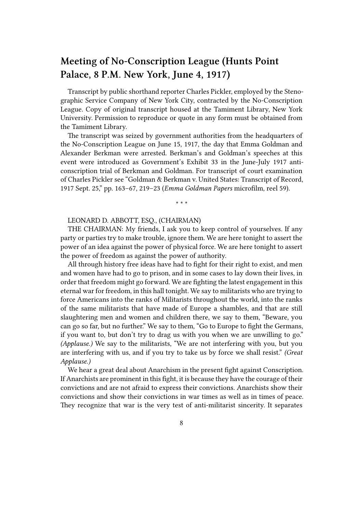### <span id="page-7-0"></span>**Meeting of No-Conscription League (Hunts Point Palace, 8 P.M. New York, June 4, 1917)**

Transcript by public shorthand reporter Charles Pickler, employed by the Stenographic Service Company of New York City, contracted by the No-Conscription League. Copy of original transcript housed at the Tamiment Library, New York University. Permission to reproduce or quote in any form must be obtained from the Tamiment Library.

The transcript was seized by government authorities from the headquarters of the No-Conscription League on June 15, 1917, the day that Emma Goldman and Alexander Berkman were arrested. Berkman's and Goldman's speeches at this event were introduced as Government's Exhibit 33 in the June-July 1917 anticonscription trial of Berkman and Goldman. For transcript of court examination of Charles Pickler see "Goldman & Berkman v. United States: Transcript of Record, 1917 Sept. 25," pp. 163–67, 219–23 (*Emma Goldman Papers* microfilm, reel 59).

\* \* \*

#### LEONARD D. ABBOTT, ESQ., (CHAIRMAN)

THE CHAIRMAN: My friends, I ask you to keep control of yourselves. If any party or parties try to make trouble, ignore them. We are here tonight to assert the power of an idea against the power of physical force. We are here tonight to assert the power of freedom as against the power of authority.

All through history free ideas have had to fight for their right to exist, and men and women have had to go to prison, and in some cases to lay down their lives, in order that freedom might go forward. We are fighting the latest engagement in this eternal war for freedom, in this hall tonight. We say to militarists who are trying to force Americans into the ranks of Militarists throughout the world, into the ranks of the same militarists that have made of Europe a shambles, and that are still slaughtering men and women and children there, we say to them, "Beware, you can go so far, but no further." We say to them, "Go to Europe to fight the Germans, if you want to, but don't try to drag us with you when we are unwilling to go." *(Applause.)* We say to the militarists, "We are not interfering with you, but you are interfering with us, and if you try to take us by force we shall resist." *(Great Applause.)*

We hear a great deal about Anarchism in the present fight against Conscription. If Anarchists are prominent in this fight, it is because they have the courage of their convictions and are not afraid to express their convictions. Anarchists show their convictions and show their convictions in war times as well as in times of peace. They recognize that war is the very test of anti-militarist sincerity. It separates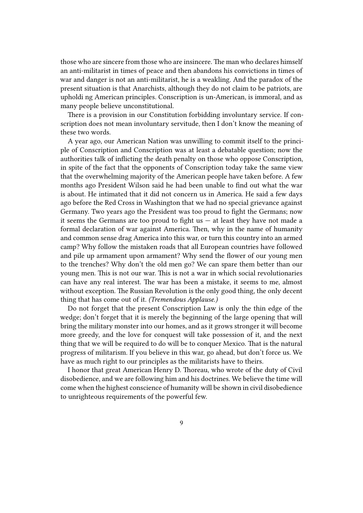those who are sincere from those who are insincere. The man who declares himself an anti-militarist in times of peace and then abandons his convictions in times of war and danger is not an anti-militarist, he is a weakling. And the paradox of the present situation is that Anarchists, although they do not claim to be patriots, are upholdi ng American principles. Conscription is un-American, is immoral, and as many people believe unconstitutional.

There is a provision in our Constitution forbidding involuntary service. If conscription does not mean involuntary servitude, then I don't know the meaning of these two words.

A year ago, our American Nation was unwilling to commit itself to the principle of Conscription and Conscription was at least a debatable question; now the authorities talk of inflicting the death penalty on those who oppose Conscription, in spite of the fact that the opponents of Conscription today take the same view that the overwhelming majority of the American people have taken before. A few months ago President Wilson said he had been unable to find out what the war is about. He intimated that it did not concern us in America. He said a few days ago before the Red Cross in Washington that we had no special grievance against Germany. Two years ago the President was too proud to fight the Germans; now it seems the Germans are too proud to fight us  $-$  at least they have not made a formal declaration of war against America. Then, why in the name of humanity and common sense drag America into this war, or turn this country into an armed camp? Why follow the mistaken roads that all European countries have followed and pile up armament upon armament? Why send the flower of our young men to the trenches? Why don't the old men go? We can spare them better than our young men. This is not our war. This is not a war in which social revolutionaries can have any real interest. The war has been a mistake, it seems to me, almost without exception. The Russian Revolution is the only good thing, the only decent thing that has come out of it. *(Tremendous Applause.)*

Do not forget that the present Conscription Law is only the thin edge of the wedge; don't forget that it is merely the beginning of the large opening that will bring the military monster into our homes, and as it grows stronger it will become more greedy, and the love for conquest will take possession of it, and the next thing that we will be required to do will be to conquer Mexico. That is the natural progress of militarism. If you believe in this war, go ahead, but don't force us. We have as much right to our principles as the militarists have to theirs.

I honor that great American Henry D. Thoreau, who wrote of the duty of Civil disobedience, and we are following him and his doctrines. We believe the time will come when the highest conscience of humanity will be shown in civil disobedience to unrighteous requirements of the powerful few.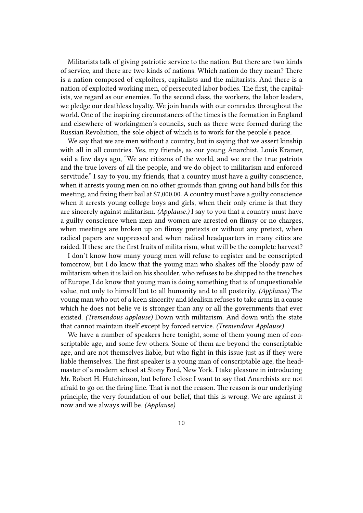Militarists talk of giving patriotic service to the nation. But there are two kinds of service, and there are two kinds of nations. Which nation do they mean? There is a nation composed of exploiters, capitalists and the militarists. And there is a nation of exploited working men, of persecuted labor bodies. The first, the capitalists, we regard as our enemies. To the second class, the workers, the labor leaders, we pledge our deathless loyalty. We join hands with our comrades throughout the world. One of the inspiring circumstances of the times is the formation in England and elsewhere of workingmen's councils, such as there were formed during the Russian Revolution, the sole object of which is to work for the people's peace.

We say that we are men without a country, but in saying that we assert kinship with all in all countries. Yes, my friends, as our young Anarchist, Louis Kramer, said a few days ago, "We are citizens of the world, and we are the true patriots and the true lovers of all the people, and we do object to militarism and enforced servitude." I say to you, my friends, that a country must have a guilty conscience, when it arrests young men on no other grounds than giving out hand bills for this meeting, and fixing their bail at \$7,000.00. A country must have a guilty conscience when it arrests young college boys and girls, when their only crime is that they are sincerely against militarism. *(Applause.)* I say to you that a country must have a guilty conscience when men and women are arrested on flimsy or no charges, when meetings are broken up on flimsy pretexts or without any pretext, when radical papers are suppressed and when radical headquarters in many cities are raided. If these are the first fruits of milita rism, what will be the complete harvest?

I don't know how many young men will refuse to register and be conscripted tomorrow, but I do know that the young man who shakes off the bloody paw of militarism when it is laid on his shoulder, who refuses to be shipped to the trenches of Europe, I do know that young man is doing something that is of unquestionable value, not only to himself but to all humanity and to all posterity. *(Applause)* The young man who out of a keen sincerity and idealism refuses to take arms in a cause which he does not belie ve is stronger than any or all the governments that ever existed. *(Tremendous applause)* Down with militarism. And down with the state that cannot maintain itself except by forced service. *(Tremendous Applause)*

We have a number of speakers here tonight, some of them young men of conscriptable age, and some few others. Some of them are beyond the conscriptable age, and are not themselves liable, but who fight in this issue just as if they were liable themselves. The first speaker is a young man of conscriptable age, the headmaster of a modern school at Stony Ford, New York. I take pleasure in introducing Mr. Robert H. Hutchinson, but before I close I want to say that Anarchists are not afraid to go on the firing line. That is not the reason. The reason is our underlying principle, the very foundation of our belief, that this is wrong. We are against it now and we always will be. *(Applause)*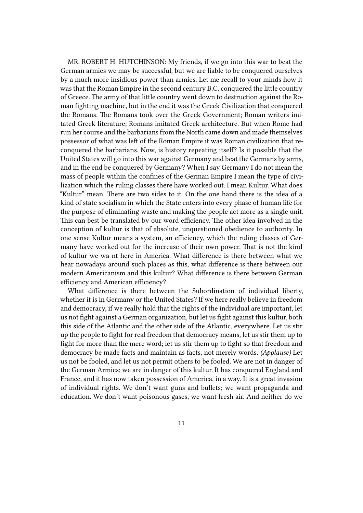MR. ROBERT H. HUTCHINSON: My friends, if we go into this war to beat the German armies we may be successful, but we are liable to be conquered ourselves by a much more insidious power than armies. Let me recall to your minds how it was that the Roman Empire in the second century B.C. conquered the little country of Greece. The army of that little country went down to destruction against the Roman fighting machine, but in the end it was the Greek Civilization that conquered the Romans. The Romans took over the Greek Government; Roman writers imitated Greek literature; Romans imitated Greek architecture. But when Rome had run her course and the barbarians from the North came down and made themselves possessor of what was left of the Roman Empire it was Roman civilization that reconquered the barbarians. Now, is history repeating itself? Is it possible that the United States will go into this war against Germany and beat the Germans by arms, and in the end be conquered by Germany? When I say Germany I do not mean the mass of people within the confines of the German Empire I mean the type of civilization which the ruling classes there have worked out. I mean Kultur. What does "Kultur" mean. There are two sides to it. On the one hand there is the idea of a kind of state socialism in which the State enters into every phase of human life for the purpose of eliminating waste and making the people act more as a single unit. This can best be translated by our word efficiency. The other idea involved in the conception of kultur is that of absolute, unquestioned obedience to authority. In one sense Kultur means a system, an efficiency, which the ruling classes of Germany have worked out for the increase of their own power. That is not the kind of kultur we wa nt here in America. What difference is there between what we hear nowadays around such places as this, what difference is there between our modern Americanism and this kultur? What difference is there between German efficiency and American efficiency?

What difference is there between the Subordination of individual liberty, whether it is in Germany or the United States? If we here really believe in freedom and democracy, if we really hold that the rights of the individual are important, let us not fight against a German organization, but let us fight against this kultur, both this side of the Atlantic and the other side of the Atlantic, everywhere. Let us stir up the people to fight for real freedom that democracy means, let us stir them up to fight for more than the mere word; let us stir them up to fight so that freedom and democracy be made facts and maintain as facts, not merely words. *(Applause)* Let us not be fooled, and let us not permit others to be fooled. We are not in danger of the German Armies; we are in danger of this kultur. It has conquered England and France, and it has now taken possession of America, in a way. It is a great invasion of individual rights. We don't want guns and bullets; we want propaganda and education. We don't want poisonous gases, we want fresh air. And neither do we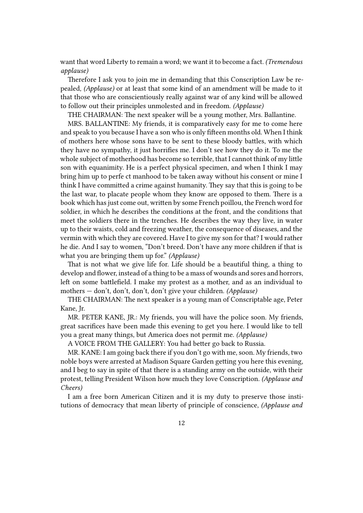want that word Liberty to remain a word; we want it to become a fact. *(Tremendous applause)*

Therefore I ask you to join me in demanding that this Conscription Law be repealed, *(Applause)* or at least that some kind of an amendment will be made to it that those who are conscientiously really against war of any kind will be allowed to follow out their principles unmolested and in freedom. *(Applause)*

THE CHAIRMAN: The next speaker will be a young mother, Mrs. Ballantine.

MRS. BALLANTINE: My friends, it is comparatively easy for me to come here and speak to you because I have a son who is only fifteen months old. When I think of mothers here whose sons have to be sent to these bloody battles, with which they have no sympathy, it just horrifies me. I don't see how they do it. To me the whole subject of motherhood has become so terrible, that I cannot think of my little son with equanimity. He is a perfect physical specimen, and when I think I may bring him up to perfe ct manhood to be taken away without his consent or mine I think I have committed a crime against humanity. They say that this is going to be the last war, to placate people whom they know are opposed to them. There is a book which has just come out, written by some French poillou, the French word for soldier, in which he describes the conditions at the front, and the conditions that meet the soldiers there in the trenches. He describes the way they live, in water up to their waists, cold and freezing weather, the consequence of diseases, and the vermin with which they are covered. Have I to give my son for that? I would rather he die. And I say to women, "Don't breed. Don't have any more children if that is what you are bringing them up for." *(Applause)*

That is not what we give life for. Life should be a beautiful thing, a thing to develop and flower, instead of a thing to be a mass of wounds and sores and horrors, left on some battlefield. I make my protest as a mother, and as an individual to mothers — don't, don't, don't, don't give your children. *(Applause)*

THE CHAIRMAN: The next speaker is a young man of Conscriptable age, Peter Kane, Jr.

MR. PETER KANE, JR.: My friends, you will have the police soon. My friends, great sacrifices have been made this evening to get you here. I would like to tell you a great many things, but America does not permit me. *(Applause)*

A VOICE FROM THE GALLERY: You had better go back to Russia.

MR. KANE: I am going back there if you don't go with me, soon. My friends, two noble boys were arrested at Madison Square Garden getting you here this evening, and I beg to say in spite of that there is a standing army on the outside, with their protest, telling President Wilson how much they love Conscription. *(Applause and Cheers)*

I am a free born American Citizen and it is my duty to preserve those institutions of democracy that mean liberty of principle of conscience, *(Applause and*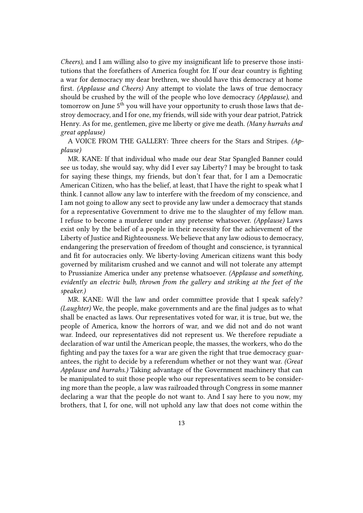*Cheers)*, and I am willing also to give my insignificant life to preserve those institutions that the forefathers of America fought for. If our dear country is fighting a war for democracy my dear brethren, we should have this democracy at home first. *(Applause and Cheers)* Any attempt to violate the laws of true democracy should be crushed by the will of the people who love democracy *(Applause)*, and tomorrow on June  $5<sup>th</sup>$  you will have your opportunity to crush those laws that destroy democracy, and I for one, my friends, will side with your dear patriot, Patrick Henry. As for me, gentlemen, give me liberty or give me death. *(Many hurrahs and great applause)*

A VOICE FROM THE GALLERY: Three cheers for the Stars and Stripes. *(Applause)*

MR. KANE: If that individual who made our dear Star Spangled Banner could see us today, she would say, why did I ever say Liberty? I may be brought to task for saying these things, my friends, but don't fear that, for I am a Democratic American Citizen, who has the belief, at least, that I have the right to speak what I think. I cannot allow any law to interfere with the freedom of my conscience, and I am not going to allow any sect to provide any law under a democracy that stands for a representative Government to drive me to the slaughter of my fellow man. I refuse to become a murderer under any pretense whatsoever. *(Applause)* Laws exist only by the belief of a people in their necessity for the achievement of the Liberty of Justice and Righteousness. We believe that any law odious to democracy, endangering the preservation of freedom of thought and conscience, is tyrannical and fit for autocracies only. We liberty-loving American citizens want this body governed by militarism crushed and we cannot and will not tolerate any attempt to Prussianize America under any pretense whatsoever. *(Applause and something, evidently an electric bulb, thrown from the gallery and striking at the feet of the speaker.)*

MR. KANE: Will the law and order committee provide that I speak safely? *(Laughter)* We, the people, make governments and are the final judges as to what shall be enacted as laws. Our representatives voted for war, it is true, but we, the people of America, know the horrors of war, and we did not and do not want war. Indeed, our representatives did not represent us. We therefore repudiate a declaration of war until the American people, the masses, the workers, who do the fighting and pay the taxes for a war are given the right that true democracy guarantees, the right to decide by a referendum whether or not they want war. *(Great Applause and hurrahs.)* Taking advantage of the Government machinery that can be manipulated to suit those people who our representatives seem to be considering more than the people, a law was railroaded through Congress in some manner declaring a war that the people do not want to. And I say here to you now, my brothers, that I, for one, will not uphold any law that does not come within the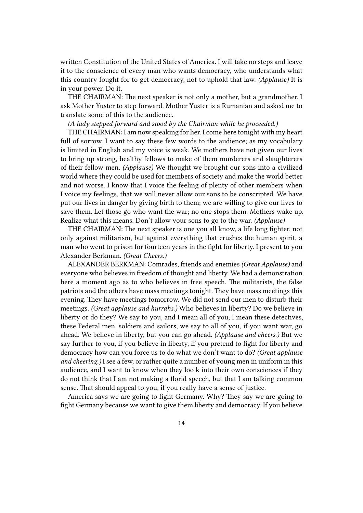written Constitution of the United States of America. I will take no steps and leave it to the conscience of every man who wants democracy, who understands what this country fought for to get democracy, not to uphold that law. *(Applause)* It is in your power. Do it.

THE CHAIRMAN: The next speaker is not only a mother, but a grandmother. I ask Mother Yuster to step forward. Mother Yuster is a Rumanian and asked me to translate some of this to the audience.

*(A lady stepped forward and stood by the Chairman while he proceeded.)*

THE CHAIRMAN: I am now speaking for her. I come here tonight with my heart full of sorrow. I want to say these few words to the audience; as my vocabulary is limited in English and my voice is weak. We mothers have not given our lives to bring up strong, healthy fellows to make of them murderers and slaughterers of their fellow men. *(Applause)* We thought we brought our sons into a civilized world where they could be used for members of society and make the world better and not worse. I know that I voice the feeling of plenty of other members when I voice my feelings, that we will never allow our sons to be conscripted. We have put our lives in danger by giving birth to them; we are willing to give our lives to save them. Let those go who want the war; no one stops them. Mothers wake up. Realize what this means. Don't allow your sons to go to the war. *(Applause)*

THE CHAIRMAN: The next speaker is one you all know, a life long fighter, not only against militarism, but against everything that crushes the human spirit, a man who went to prison for fourteen years in the fight for liberty. I present to you Alexander Berkman. *(Great Cheers.)*

ALEXANDER BERKMAN: Comrades, friends and enemies *(Great Applause)* and everyone who believes in freedom of thought and liberty. We had a demonstration here a moment ago as to who believes in free speech. The militarists, the false patriots and the others have mass meetings tonight. They have mass meetings this evening. They have meetings tomorrow. We did not send our men to disturb their meetings. *(Great applause and hurrahs.)* Who believes in liberty? Do we believe in liberty or do they? We say to you, and I mean all of you, I mean these detectives, these Federal men, soldiers and sailors, we say to all of you, if you want war, go ahead. We believe in liberty, but you can go ahead. *(Applause and cheers.)* But we say further to you, if you believe in liberty, if you pretend to fight for liberty and democracy how can you force us to do what we don't want to do? *(Great applause and cheering.)* I see a few, or rather quite a number of young men in uniform in this audience, and I want to know when they loo k into their own consciences if they do not think that I am not making a florid speech, but that I am talking common sense. That should appeal to you, if you really have a sense of justice.

America says we are going to fight Germany. Why? They say we are going to fight Germany because we want to give them liberty and democracy. If you believe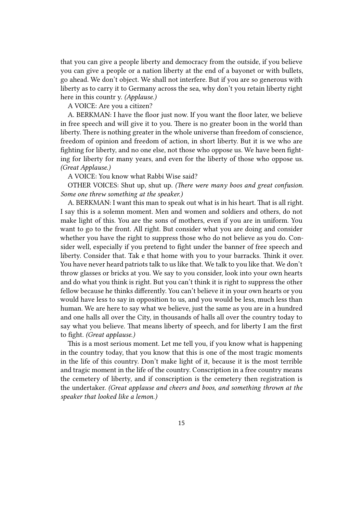that you can give a people liberty and democracy from the outside, if you believe you can give a people or a nation liberty at the end of a bayonet or with bullets, go ahead. We don't object. We shall not interfere. But if you are so generous with liberty as to carry it to Germany across the sea, why don't you retain liberty right here in this countr y. *(Applause.)*

A VOICE: Are you a citizen?

A. BERKMAN: I have the floor just now. If you want the floor later, we believe in free speech and will give it to you. There is no greater boon in the world than liberty. There is nothing greater in the whole universe than freedom of conscience, freedom of opinion and freedom of action, in short liberty. But it is we who are fighting for liberty, and no one else, not those who oppose us. We have been fighting for liberty for many years, and even for the liberty of those who oppose us. *(Great Applause.)*

A VOICE: You know what Rabbi Wise said?

OTHER VOICES: Shut up, shut up. *(There were many boos and great confusion. Some one threw something at the speaker.)*

A. BERKMAN: I want this man to speak out what is in his heart. That is all right. I say this is a solemn moment. Men and women and soldiers and others, do not make light of this. You are the sons of mothers, even if you are in uniform. You want to go to the front. All right. But consider what you are doing and consider whether you have the right to suppress those who do not believe as you do. Consider well, especially if you pretend to fight under the banner of free speech and liberty. Consider that. Tak e that home with you to your barracks. Think it over. You have never heard patriots talk to us like that. We talk to you like that. We don't throw glasses or bricks at you. We say to you consider, look into your own hearts and do what you think is right. But you can't think it is right to suppress the other fellow because he thinks differently. You can't believe it in your own hearts or you would have less to say in opposition to us, and you would be less, much less than human. We are here to say what we believe, just the same as you are in a hundred and one halls all over the City, in thousands of halls all over the country today to say what you believe. That means liberty of speech, and for liberty I am the first to fight. *(Great applause.)*

This is a most serious moment. Let me tell you, if you know what is happening in the country today, that you know that this is one of the most tragic moments in the life of this country. Don't make light of it, because it is the most terrible and tragic moment in the life of the country. Conscription in a free country means the cemetery of liberty, and if conscription is the cemetery then registration is the undertaker. *(Great applause and cheers and boos, and something thrown at the speaker that looked like a lemon.)*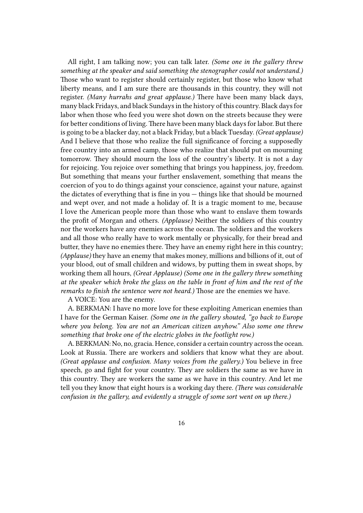All right, I am talking now; you can talk later. *(Some one in the gallery threw something at the speaker and said something the stenographer could not understand.)* Those who want to register should certainly register, but those who know what liberty means, and I am sure there are thousands in this country, they will not register. *(Many hurrahs and great applause.)* There have been many black days, many black Fridays, and black Sundays in the history of this country. Black days for labor when those who feed you were shot down on the streets because they were for better conditions of living. There have been many black days for labor. But there is going to be a blacker day, not a black Friday, but a black Tuesday. *(Great applause)* And I believe that those who realize the full significance of forcing a supposedly free country into an armed camp, those who realize that should put on mourning tomorrow. They should mourn the loss of the country's liberty. It is not a day for rejoicing. You rejoice over something that brings you happiness, joy, freedom. But something that means your further enslavement, something that means the coercion of you to do things against your conscience, against your nature, against the dictates of everything that is fine in you  $-$  things like that should be mourned and wept over, and not made a holiday of. It is a tragic moment to me, because I love the American people more than those who want to enslave them towards the profit of Morgan and others. *(Applause)* Neither the soldiers of this country nor the workers have any enemies across the ocean. The soldiers and the workers and all those who really have to work mentally or physically, for their bread and butter, they have no enemies there. They have an enemy right here in this country; *(Applause)* they have an enemy that makes money, millions and billions of it, out of your blood, out of small children and widows, by putting them in sweat shops, by working them all hours, *(Great Applause) (Some one in the gallery threw something at the speaker which broke the glass on the table in front of him and the rest of the remarks to finish the sentence were not heard.)* Those are the enemies we have.

A VOICE: You are the enemy.

A. BERKMAN: I have no more love for these exploiting American enemies than I have for the German Kaiser. *(Some one in the gallery shouted, "go back to Europe where you belong. You are not an American citizen anyhow." Also some one threw something that broke one of the electric globes in the footlight row.)*

A. BERKMAN: No, no, gracia. Hence, consider a certain country across the ocean. Look at Russia. There are workers and soldiers that know what they are about. *(Great applause and confusion. Many voices from the gallery.)* You believe in free speech, go and fight for your country. They are soldiers the same as we have in this country. They are workers the same as we have in this country. And let me tell you they know that eight hours is a working day there. *(There was considerable confusion in the gallery, and evidently a struggle of some sort went on up there.)*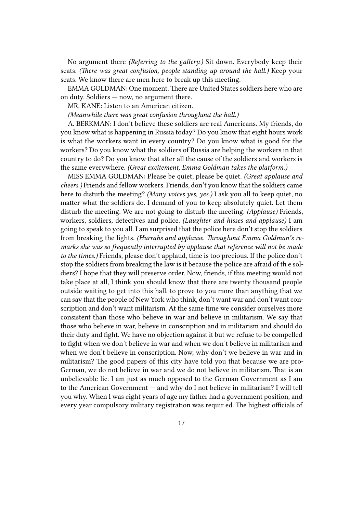No argument there *(Referring to the gallery.)* Sit down. Everybody keep their seats. *(There was great confusion, people standing up around the hall.)* Keep your seats. We know there are men here to break up this meeting.

EMMA GOLDMAN: One moment. There are United States soldiers here who are on duty. Soldiers — now, no argument there.

MR. KANE: Listen to an American citizen.

*(Meanwhile there was great confusion throughout the hall.)*

A. BERKMAN: I don't believe these soldiers are real Americans. My friends, do you know what is happening in Russia today? Do you know that eight hours work is what the workers want in every country? Do you know what is good for the workers? Do you know what the soldiers of Russia are helping the workers in that country to do? Do you know that after all the cause of the soldiers and workers is the same everywhere. *(Great excitement, Emma Goldman takes the platform.)*

MISS EMMA GOLDMAN: Please be quiet; please be quiet. *(Great applause and cheers.)* Friends and fellow workers. Friends, don't you know that the soldiers came here to disturb the meeting? *(Many voices yes, yes.)* I ask you all to keep quiet, no matter what the soldiers do. I demand of you to keep absolutely quiet. Let them disturb the meeting. We are not going to disturb the meeting. *(Applause)* Friends, workers, soldiers, detectives and police. *(Laughter and hisses and applause)* I am going to speak to you all. I am surprised that the police here don't stop the soldiers from breaking the lights. *(Hurrahs and applause. Throughout Emma Goldman's remarks she was so frequently interrupted by applause that reference will not be made to the times.)* Friends, please don't applaud, time is too precious. If the police don't stop the soldiers from breaking the law is it because the police are afraid of th e soldiers? I hope that they will preserve order. Now, friends, if this meeting would not take place at all, I think you should know that there are twenty thousand people outside waiting to get into this hall, to prove to you more than anything that we can say that the people of New York who think, don't want war and don't want conscription and don't want militarism. At the same time we consider ourselves more consistent than those who believe in war and believe in militarism. We say that those who believe in war, believe in conscription and in militarism and should do their duty and fight. We have no objection against it but we refuse to be compelled to fight when we don't believe in war and when we don't believe in militarism and when we don't believe in conscription. Now, why don't we believe in war and in militarism? The good papers of this city have told you that because we are pro-German, we do not believe in war and we do not believe in militarism. That is an unbelievable lie. I am just as much opposed to the German Government as I am to the American Government — and why do I not believe in militarism? I will tell you why. When I was eight years of age my father had a government position, and every year compulsory military registration was requir ed. The highest officials of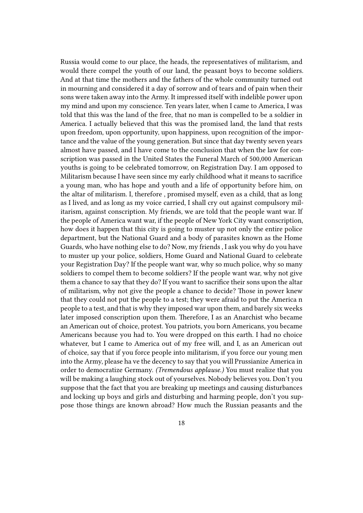Russia would come to our place, the heads, the representatives of militarism, and would there compel the youth of our land, the peasant boys to become soldiers. And at that time the mothers and the fathers of the whole community turned out in mourning and considered it a day of sorrow and of tears and of pain when their sons were taken away into the Army. It impressed itself with indelible power upon my mind and upon my conscience. Ten years later, when I came to America, I was told that this was the land of the free, that no man is compelled to be a soldier in America. I actually believed that this was the promised land, the land that rests upon freedom, upon opportunity, upon happiness, upon recognition of the importance and the value of the young generation. But since that day twenty seven years almost have passed, and I have come to the conclusion that when the law for conscription was passed in the United States the Funeral March of 500,000 American youths is going to be celebrated tomorrow, on Registration Day. I am opposed to Militarism because I have seen since my early childhood what it means to sacrifice a young man, who has hope and youth and a life of opportunity before him, on the altar of militarism. I, therefore , promised myself, even as a child, that as long as I lived, and as long as my voice carried, I shall cry out against compulsory militarism, against conscription. My friends, we are told that the people want war. If the people of America want war, if the people of New York City want conscription, how does it happen that this city is going to muster up not only the entire police department, but the National Guard and a body of parasites known as the Home Guards, who have nothing else to do? Now, my friends , I ask you why do you have to muster up your police, soldiers, Home Guard and National Guard to celebrate your Registration Day? If the people want war, why so much police, why so many soldiers to compel them to become soldiers? If the people want war, why not give them a chance to say that they do? If you want to sacrifice their sons upon the altar of militarism, why not give the people a chance to decide? Those in power knew that they could not put the people to a test; they were afraid to put the America n people to a test, and that is why they imposed war upon them, and barely six weeks later imposed conscription upon them. Therefore, I as an Anarchist who became an American out of choice, protest. You patriots, you born Americans, you became Americans because you had to. You were dropped on this earth. I had no choice whatever, but I came to America out of my free will, and I, as an American out of choice, say that if you force people into militarism, if you force our young men into the Army, please ha ve the decency to say that you will Prussianize America in order to democratize Germany. *(Tremendous applause.)* You must realize that you will be making a laughing stock out of yourselves. Nobody believes you. Don't you suppose that the fact that you are breaking up meetings and causing disturbances and locking up boys and girls and disturbing and harming people, don't you suppose those things are known abroad? How much the Russian peasants and the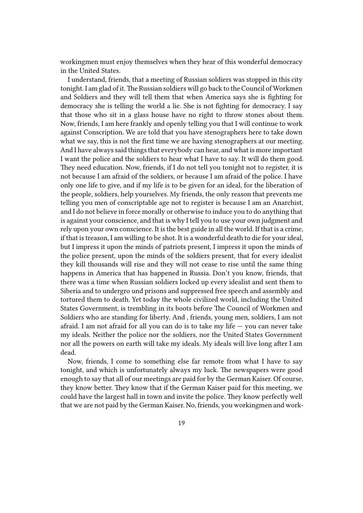workingmen must enjoy themselves when they hear of this wonderful democracy in the United States.

I understand, friends, that a meeting of Russian soldiers was stopped in this city tonight. I am glad of it.The Russian soldiers will go back to the Council of Workmen and Soldiers and they will tell them that when America says she is fighting for democracy she is telling the world a lie. She is not fighting for democracy. I say that those who sit in a glass house have no right to throw stones about them. Now, friends, I am here frankly and openly telling you that I will continue to work against Conscription. We are told that you have stenographers here to take down what we say, this is not the first time we are having stenographers at our meeting. And I have always said things that everybody can hear, and what is more important I want the police and the soldiers to hear what I have to say. It will do them good. They need education. Now, friends, if I do not tell you tonight not to register, it is not because I am afraid of the soldiers, or because I am afraid of the police. I have only one life to give, and if my life is to be given for an ideal, for the liberation of the people, soldiers, help yourselves. My friends, the only reason that prevents me telling you men of conscriptable age not to register is because I am an Anarchist, and I do not believe in force morally or otherwise to induce you to do anything that is against your conscience, and that is why I tell you to use your own judgment and rely upon your own conscience. It is the best guide in all the world. If that is a crime, if that is treason, I am willing to be shot. It is a wonderful death to die for your ideal, but I impress it upon the minds of patriots present, I impress it upon the minds of the police present, upon the minds of the soldiers present, that for every idealist they kill thousands will rise and they will not cease to rise until the same thing happens in America that has happened in Russia. Don't you know, friends, that there was a time when Russian soldiers locked up every idealist and sent them to Siberia and to undergro und prisons and suppressed free speech and assembly and tortured them to death. Yet today the whole civilized world, including the United States Government, is trembling in its boots before The Council of Workmen and Soldiers who are standing for liberty. And , friends, young men, soldiers, I am not afraid. I am not afraid for all you can do is to take my life — you can never take my ideals. Neither the police nor the soldiers, nor the United States Government nor all the powers on earth will take my ideals. My ideals will live long after I am dead.

Now, friends, I come to something else far remote from what I have to say tonight, and which is unfortunately always my luck. The newspapers were good enough to say that all of our meetings are paid for by the German Kaiser. Of course, they know better. They know that if the German Kaiser paid for this meeting, we could have the largest hall in town and invite the police. They know perfectly well that we are not paid by the German Kaiser. No, friends, you workingmen and work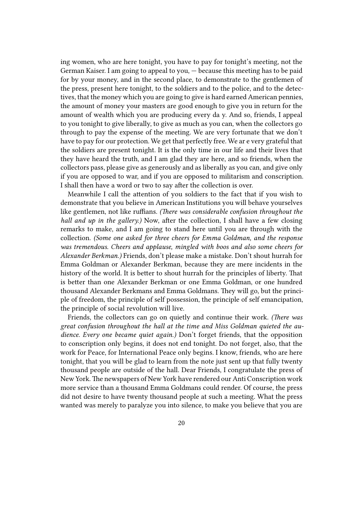ing women, who are here tonight, you have to pay for tonight's meeting, not the German Kaiser. I am going to appeal to you, — because this meeting has to be paid for by your money, and in the second place, to demonstrate to the gentlemen of the press, present here tonight, to the soldiers and to the police, and to the detectives, that the money which you are going to give is hard earned American pennies, the amount of money your masters are good enough to give you in return for the amount of wealth which you are producing every da y. And so, friends, I appeal to you tonight to give liberally, to give as much as you can, when the collectors go through to pay the expense of the meeting. We are very fortunate that we don't have to pay for our protection. We get that perfectly free. We ar e very grateful that the soldiers are present tonight. It is the only time in our life and their lives that they have heard the truth, and I am glad they are here, and so friends, when the collectors pass, please give as generously and as liberally as you can, and give only if you are opposed to war, and if you are opposed to militarism and conscription. I shall then have a word or two to say after the collection is over.

Meanwhile I call the attention of you soldiers to the fact that if you wish to demonstrate that you believe in American Institutions you will behave yourselves like gentlemen, not like ruffians. *(There was considerable confusion throughout the hall and up in the gallery.)* Now, after the collection, I shall have a few closing remarks to make, and I am going to stand here until you are through with the collection. *(Some one asked for three cheers for Emma Goldman, and the response was tremendous. Cheers and applause, mingled with boos and also some cheers for Alexander Berkman.)* Friends, don't please make a mistake. Don't shout hurrah for Emma Goldman or Alexander Berkman, because they are mere incidents in the history of the world. It is better to shout hurrah for the principles of liberty. That is better than one Alexander Berkman or one Emma Goldman, or one hundred thousand Alexander Berkmans and Emma Goldmans. They will go, but the principle of freedom, the principle of self possession, the principle of self emancipation, the principle of social revolution will live.

Friends, the collectors can go on quietly and continue their work. *(There was great confusion throughout the hall at the time and Miss Goldman quieted the audience. Every one became quiet again.)* Don't forget friends, that the opposition to conscription only begins, it does not end tonight. Do not forget, also, that the work for Peace, for International Peace only begins. I know, friends, who are here tonight, that you will be glad to learn from the note just sent up that fully twenty thousand people are outside of the hall. Dear Friends, I congratulate the press of New York.The newspapers of New York have rendered our Anti Conscription work more service than a thousand Emma Goldmans could render. Of course, the press did not desire to have twenty thousand people at such a meeting. What the press wanted was merely to paralyze you into silence, to make you believe that you are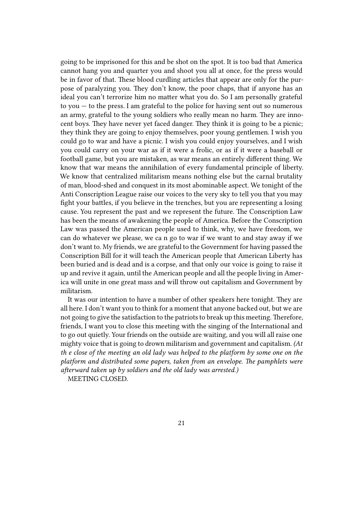going to be imprisoned for this and be shot on the spot. It is too bad that America cannot hang you and quarter you and shoot you all at once, for the press would be in favor of that. These blood curdling articles that appear are only for the purpose of paralyzing you. They don't know, the poor chaps, that if anyone has an ideal you can't terrorize him no matter what you do. So I am personally grateful to you — to the press. I am grateful to the police for having sent out so numerous an army, grateful to the young soldiers who really mean no harm. They are innocent boys. They have never yet faced danger. They think it is going to be a picnic; they think they are going to enjoy themselves, poor young gentlemen. I wish you could go to war and have a picnic. I wish you could enjoy yourselves, and I wish you could carry on your war as if it were a frolic, or as if it were a baseball or football game, but you are mistaken, as war means an entirely different thing. We know that war means the annihilation of every fundamental principle of liberty. We know that centralized militarism means nothing else but the carnal brutality of man, blood-shed and conquest in its most abominable aspect. We tonight of the Anti Conscription League raise our voices to the very sky to tell you that you may fight your battles, if you believe in the trenches, but you are representing a losing cause. You represent the past and we represent the future. The Conscription Law has been the means of awakening the people of America. Before the Conscription Law was passed the American people used to think, why, we have freedom, we can do whatever we please, we ca n go to war if we want to and stay away if we don't want to. My friends, we are grateful to the Government for having passed the Conscription Bill for it will teach the American people that American Liberty has been buried and is dead and is a corpse, and that only our voice is going to raise it up and revive it again, until the American people and all the people living in America will unite in one great mass and will throw out capitalism and Government by militarism.

It was our intention to have a number of other speakers here tonight. They are all here. I don't want you to think for a moment that anyone backed out, but we are not going to give the satisfaction to the patriots to break up this meeting. Therefore, friends, I want you to close this meeting with the singing of the International and to go out quietly. Your friends on the outside are waiting, and you will all raise one mighty voice that is going to drown militarism and government and capitalism. *(At th e close of the meeting an old lady was helped to the platform by some one on the platform and distributed some papers, taken from an envelope. The pamphlets were afterward taken up by soldiers and the old lady was arrested.)*

MEETING CLOSED.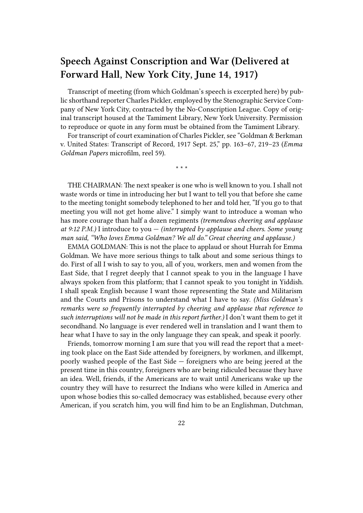### <span id="page-21-0"></span>**Speech Against Conscription and War (Delivered at Forward Hall, New York City, June 14, 1917)**

Transcript of meeting (from which Goldman's speech is excerpted here) by public shorthand reporter Charles Pickler, employed by the Stenographic Service Company of New York City, contracted by the No-Conscription League. Copy of original transcript housed at the Tamiment Library, New York University. Permission to reproduce or quote in any form must be obtained from the Tamiment Library.

For transcript of court examination of Charles Pickler, see "Goldman & Berkman v. United States: Transcript of Record, 1917 Sept. 25," pp. 163–67, 219–23 (*Emma Goldman Papers* microfilm, reel 59).

\* \* \*

THE CHAIRMAN: The next speaker is one who is well known to you. I shall not waste words or time in introducing her but I want to tell you that before she came to the meeting tonight somebody telephoned to her and told her, "If you go to that meeting you will not get home alive." I simply want to introduce a woman who has more courage than half a dozen regiments *(tremendous cheering and applause at 9:12 P.M.)* I introduce to you — *(interrupted by applause and cheers. Some young man said, "Who loves Emma Goldman? We all do." Great cheering and applause.)*

EMMA GOLDMAN: This is not the place to applaud or shout Hurrah for Emma Goldman. We have more serious things to talk about and some serious things to do. First of all I wish to say to you, all of you, workers, men and women from the East Side, that I regret deeply that I cannot speak to you in the language I have always spoken from this platform; that I cannot speak to you tonight in Yiddish. I shall speak English because I want those representing the State and Militarism and the Courts and Prisons to understand what I have to say. *(Miss Goldman's remarks were so frequently interrupted by cheering and applause that reference to such interruptions will not be made in this report further.)* I don't want them to get it secondhand. No language is ever rendered well in translation and I want them to hear what I have to say in the only language they can speak, and speak it poorly.

Friends, tomorrow morning I am sure that you will read the report that a meeting took place on the East Side attended by foreigners, by workmen, and illkempt, poorly washed people of the East Side — foreigners who are being jeered at the present time in this country, foreigners who are being ridiculed because they have an idea. Well, friends, if the Americans are to wait until Americans wake up the country they will have to resurrect the Indians who were killed in America and upon whose bodies this so-called democracy was established, because every other American, if you scratch him, you will find him to be an Englishman, Dutchman,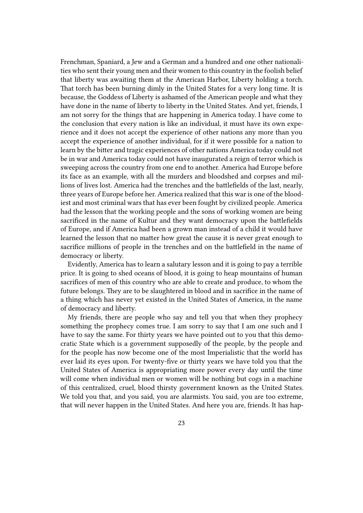Frenchman, Spaniard, a Jew and a German and a hundred and one other nationalities who sent their young men and their women to this country in the foolish belief that liberty was awaiting them at the American Harbor, Liberty holding a torch. That torch has been burning dimly in the United States for a very long time. It is because, the Goddess of Liberty is ashamed of the American people and what they have done in the name of liberty to liberty in the United States. And yet, friends, I am not sorry for the things that are happening in America today. I have come to the conclusion that every nation is like an individual, it must have its own experience and it does not accept the experience of other nations any more than you accept the experience of another individual, for if it were possible for a nation to learn by the bitter and tragic experiences of other nations America today could not be in war and America today could not have inaugurated a reign of terror which is sweeping across the country from one end to another. America had Europe before its face as an example, with all the murders and bloodshed and corpses and millions of lives lost. America had the trenches and the battlefields of the last, nearly, three years of Europe before her. America realized that this war is one of the bloodiest and most criminal wars that has ever been fought by civilized people. America had the lesson that the working people and the sons of working women are being sacrificed in the name of Kultur and they want democracy upon the battlefields of Europe, and if America had been a grown man instead of a child it would have learned the lesson that no matter how great the cause it is never great enough to sacrifice millions of people in the trenches and on the battlefield in the name of democracy or liberty.

Evidently, America has to learn a salutary lesson and it is going to pay a terrible price. It is going to shed oceans of blood, it is going to heap mountains of human sacrifices of men of this country who are able to create and produce, to whom the future belongs. They are to be slaughtered in blood and in sacrifice in the name of a thing which has never yet existed in the United States of America, in the name of democracy and liberty.

My friends, there are people who say and tell you that when they prophecy something the prophecy comes true. I am sorry to say that I am one such and I have to say the same. For thirty years we have pointed out to you that this democratic State which is a government supposedly of the people, by the people and for the people has now become one of the most Imperialistic that the world has ever laid its eyes upon. For twenty-five or thirty years we have told you that the United States of America is appropriating more power every day until the time will come when individual men or women will be nothing but cogs in a machine of this centralized, cruel, blood thirsty government known as the United States. We told you that, and you said, you are alarmists. You said, you are too extreme, that will never happen in the United States. And here you are, friends. It has hap-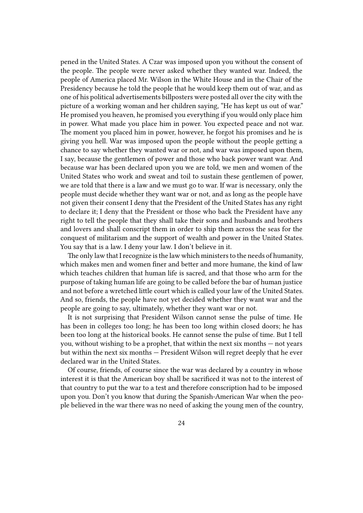pened in the United States. A Czar was imposed upon you without the consent of the people. The people were never asked whether they wanted war. Indeed, the people of America placed Mr. Wilson in the White House and in the Chair of the Presidency because he told the people that he would keep them out of war, and as one of his political advertisements billposters were posted all over the city with the picture of a working woman and her children saying, "He has kept us out of war." He promised you heaven, he promised you everything if you would only place him in power. What made you place him in power. You expected peace and not war. The moment you placed him in power, however, he forgot his promises and he is giving you hell. War was imposed upon the people without the people getting a chance to say whether they wanted war or not, and war was imposed upon them, I say, because the gentlemen of power and those who back power want war. And because war has been declared upon you we are told, we men and women of the United States who work and sweat and toil to sustain these gentlemen of power, we are told that there is a law and we must go to war. If war is necessary, only the people must decide whether they want war or not, and as long as the people have not given their consent I deny that the President of the United States has any right to declare it; I deny that the President or those who back the President have any right to tell the people that they shall take their sons and husbands and brothers and lovers and shall conscript them in order to ship them across the seas for the conquest of militarism and the support of wealth and power in the United States. You say that is a law. I deny your law. I don't believe in it.

The only law that I recognize is the law which ministers to the needs of humanity, which makes men and women finer and better and more humane, the kind of law which teaches children that human life is sacred, and that those who arm for the purpose of taking human life are going to be called before the bar of human justice and not before a wretched little court which is called your law of the United States. And so, friends, the people have not yet decided whether they want war and the people are going to say, ultimately, whether they want war or not.

It is not surprising that President Wilson cannot sense the pulse of time. He has been in colleges too long; he has been too long within closed doors; he has been too long at the historical books. He cannot sense the pulse of time. But I tell you, without wishing to be a prophet, that within the next six months — not years but within the next six months — President Wilson will regret deeply that he ever declared war in the United States.

Of course, friends, of course since the war was declared by a country in whose interest it is that the American boy shall be sacrificed it was not to the interest of that country to put the war to a test and therefore conscription had to be imposed upon you. Don't you know that during the Spanish-American War when the people believed in the war there was no need of asking the young men of the country,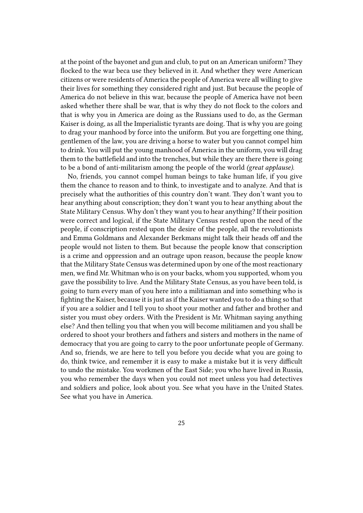at the point of the bayonet and gun and club, to put on an American uniform? They flocked to the war beca use they believed in it. And whether they were American citizens or were residents of America the people of America were all willing to give their lives for something they considered right and just. But because the people of America do not believe in this war, because the people of America have not been asked whether there shall be war, that is why they do not flock to the colors and that is why you in America are doing as the Russians used to do, as the German Kaiser is doing, as all the Imperialistic tyrants are doing. That is why you are going to drag your manhood by force into the uniform. But you are forgetting one thing, gentlemen of the law, you are driving a horse to water but you cannot compel him to drink. You will put the young manhood of America in the uniform, you will drag them to the battlefield and into the trenches, but while they are there there is going to be a bond of anti-militarism among the people of the world *(great applause)*.

No, friends, you cannot compel human beings to take human life, if you give them the chance to reason and to think, to investigate and to analyze. And that is precisely what the authorities of this country don't want. They don't want you to hear anything about conscription; they don't want you to hear anything about the State Military Census. Why don't they want you to hear anything? If their position were correct and logical, if the State Military Census rested upon the need of the people, if conscription rested upon the desire of the people, all the revolutionists and Emma Goldmans and Alexander Berkmans might talk their heads off and the people would not listen to them. But because the people know that conscription is a crime and oppression and an outrage upon reason, because the people know that the Military State Census was determined upon by one of the most reactionary men, we find Mr. Whitman who is on your backs, whom you supported, whom you gave the possibility to live. And the Military State Census, as you have been told, is going to turn every man of you here into a militiaman and into something who is fighting the Kaiser, because it is just as if the Kaiser wanted you to do a thing so that if you are a soldier and I tell you to shoot your mother and father and brother and sister you must obey orders. With the President is Mr. Whitman saying anything else? And then telling you that when you will become militiamen and you shall be ordered to shoot your brothers and fathers and sisters and mothers in the name of democracy that you are going to carry to the poor unfortunate people of Germany. And so, friends, we are here to tell you before you decide what you are going to do, think twice, and remember it is easy to make a mistake but it is very difficult to undo the mistake. You workmen of the East Side; you who have lived in Russia, you who remember the days when you could not meet unless you had detectives and soldiers and police, look about you. See what you have in the United States. See what you have in America.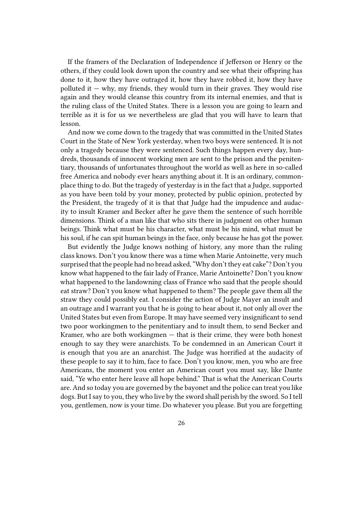If the framers of the Declaration of Independence if Jefferson or Henry or the others, if they could look down upon the country and see what their offspring has done to it, how they have outraged it, how they have robbed it, how they have polluted it  $-$  why, my friends, they would turn in their graves. They would rise again and they would cleanse this country from its internal enemies, and that is the ruling class of the United States. There is a lesson you are going to learn and terrible as it is for us we nevertheless are glad that you will have to learn that lesson.

And now we come down to the tragedy that was committed in the United States Court in the State of New York yesterday, when two boys were sentenced. It is not only a tragedy because they were sentenced. Such things happen every day, hundreds, thousands of innocent working men are sent to the prison and the penitentiary, thousands of unfortunates throughout the world as well as here in so-called free America and nobody ever hears anything about it. It is an ordinary, commonplace thing to do. But the tragedy of yesterday is in the fact that a Judge, supported as you have been told by your money, protected by public opinion, protected by the President, the tragedy of it is that that Judge had the impudence and audacity to insult Kramer and Becker after he gave them the sentence of such horrible dimensions. Think of a man like that who sits there in judgment on other human beings. Think what must be his character, what must be his mind, what must be his soul, if he can spit human beings in the face, only because he has got the power.

But evidently the Judge knows nothing of history, any more than the ruling class knows. Don't you know there was a time when Marie Antoinette, very much surprised that the people had no bread asked, "Why don't they eat cake"? Don't you know what happened to the fair lady of France, Marie Antoinette? Don't you know what happened to the landowning class of France who said that the people should eat straw? Don't you know what happened to them? The people gave them all the straw they could possibly eat. I consider the action of Judge Mayer an insult and an outrage and I warrant you that he is going to hear about it, not only all over the United States but even from Europe. It may have seemed very insignificant to send two poor workingmen to the penitentiary and to insult them, to send Becker and Kramer, who are both workingmen  $-$  that is their crime, they were both honest enough to say they were anarchists. To be condemned in an American Court it is enough that you are an anarchist. The Judge was horrified at the audacity of these people to say it to him, face to face. Don't you know, men, you who are free Americans, the moment you enter an American court you must say, like Dante said, "Ye who enter here leave all hope behind." That is what the American Courts are. And so today you are governed by the bayonet and the police can treat you like dogs. But I say to you, they who live by the sword shall perish by the sword. So I tell you, gentlemen, now is your time. Do whatever you please. But you are forgetting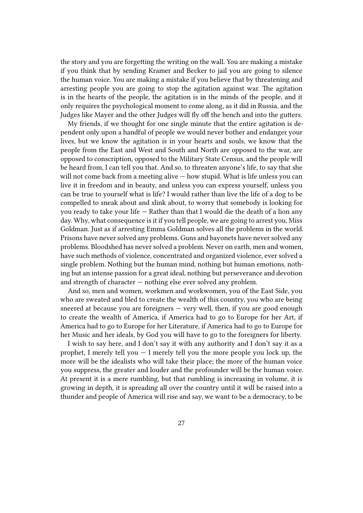the story and you are forgetting the writing on the wall. You are making a mistake if you think that by sending Kramer and Becker to jail you are going to silence the human voice. You are making a mistake if you believe that by threatening and arresting people you are going to stop the agitation against war. The agitation is in the hearts of the people, the agitation is in the minds of the people, and it only requires the psychological moment to come along, as it did in Russia, and the Judges like Mayer and the other Judges will fly off the bench and into the gutters.

My friends, if we thought for one single minute that the entire agitation is dependent only upon a handful of people we would never bother and endanger your lives, but we know the agitation is in your hearts and souls, we know that the people from the East and West and South and North are opposed to the war, are opposed to conscription, opposed to the Military State Census, and the people will be heard from, I can tell you that. And so, to threaten anyone's life, to say that she will not come back from a meeting alive — how stupid. What is life unless you can live it in freedom and in beauty, and unless you can express yourself, unless you can be true to yourself what is life? I would rather than live the life of a dog to be compelled to sneak about and slink about, to worry that somebody is looking for you ready to take your life — Rather than that I would die the death of a lion any day. Why, what consequence is it if you tell people, we are going to arrest you, Miss Goldman. Just as if arresting Emma Goldman solves all the problems in the world. Prisons have never solved any problems. Guns and bayonets have never solved any problems. Bloodshed has never solved a problem. Never on earth, men and women, have such methods of violence, concentrated and organized violence, ever solved a single problem. Nothing but the human mind, nothing but human emotions, nothing but an intense passion for a great ideal, nothing but perseverance and devotion and strength of character — nothing else ever solved any problem.

And so, men and women, workmen and workwomen, you of the East Side, you who are sweated and bled to create the wealth of this country, you who are being sneered at because you are foreigners — very well, then, if you are good enough to create the wealth of America, if America had to go to Europe for her Art, if America had to go to Europe for her Literature, if America had to go to Europe for her Music and her ideals, by God you will have to go to the foreigners for liberty.

I wish to say here, and I don't say it with any authority and I don't say it as a prophet, I merely tell you — I merely tell you the more people you lock up, the more will be the idealists who will take their place; the more of the human voice you suppress, the greater and louder and the profounder will be the human voice. At present it is a mere rumbling, but that rumbling is increasing in volume, it is growing in depth, it is spreading all over the country until it will be raised into a thunder and people of America will rise and say, we want to be a democracy, to be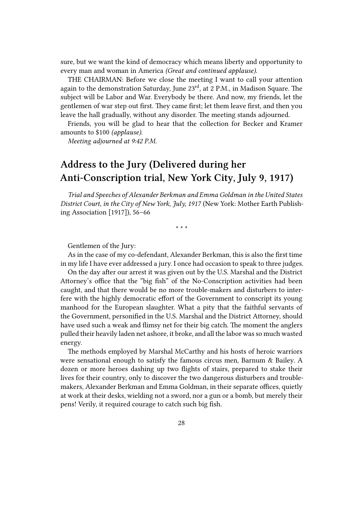sure, but we want the kind of democracy which means liberty and opportunity to every man and woman in America *(Great and continued applause)*.

THE CHAIRMAN: Before we close the meeting I want to call your attention again to the demonstration Saturday, June 23<sup>rd</sup>, at 2 P.M., in Madison Square. The subject will be Labor and War. Everybody be there. And now, my friends, let the gentlemen of war step out first. They came first; let them leave first, and then you leave the hall gradually, without any disorder. The meeting stands adjourned.

Friends, you will be glad to hear that the collection for Becker and Kramer amounts to \$100 *(applause)*.

*Meeting adjourned at 9:42 P.M.*

### **Address to the Jury (Delivered during her Anti-Conscription trial, New York City, July 9, 1917)**

*Trial and Speeches of Alexander Berkman and Emma Goldman in the United States District Court, in the City of New York, July, 1917* (New York: Mother Earth Publishing Association [1917]), 56–66

\* \* \*

Gentlemen of the Jury:

As in the case of my co-defendant, Alexander Berkman, this is also the first time in my life I have ever addressed a jury. I once had occasion to speak to three judges.

On the day after our arrest it was given out by the U.S. Marshal and the District Attorney's office that the "big fish" of the No-Conscription activities had been caught, and that there would be no more trouble-makers and disturbers to interfere with the highly democratic effort of the Government to conscript its young manhood for the European slaughter. What a pity that the faithful servants of the Government, personified in the U.S. Marshal and the District Attorney, should have used such a weak and flimsy net for their big catch. The moment the anglers pulled their heavily laden net ashore, it broke, and all the labor was so much wasted energy.

The methods employed by Marshal McCarthy and his hosts of heroic warriors were sensational enough to satisfy the famous circus men, Barnum & Bailey. A dozen or more heroes dashing up two flights of stairs, prepared to stake their lives for their country, only to discover the two dangerous disturbers and troublemakers, Alexander Berkman and Emma Goldman, in their separate offices, quietly at work at their desks, wielding not a sword, nor a gun or a bomb, but merely their pens! Verily, it required courage to catch such big fish.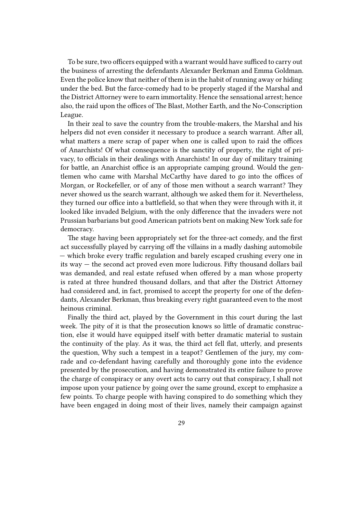To be sure, two officers equipped with a warrant would have sufficed to carry out the business of arresting the defendants Alexander Berkman and Emma Goldman. Even the police know that neither of them is in the habit of running away or hiding under the bed. But the farce-comedy had to be properly staged if the Marshal and the District Attorney were to earn immortality. Hence the sensational arrest; hence also, the raid upon the offices of The Blast, Mother Earth, and the No-Conscription League.

In their zeal to save the country from the trouble-makers, the Marshal and his helpers did not even consider it necessary to produce a search warrant. After all, what matters a mere scrap of paper when one is called upon to raid the offices of Anarchists! Of what consequence is the sanctity of property, the right of privacy, to officials in their dealings with Anarchists! In our day of military training for battle, an Anarchist office is an appropriate camping ground. Would the gentlemen who came with Marshal McCarthy have dared to go into the offices of Morgan, or Rockefeller, or of any of those men without a search warrant? They never showed us the search warrant, although we asked them for it. Nevertheless, they turned our office into a battlefield, so that when they were through with it, it looked like invaded Belgium, with the only difference that the invaders were not Prussian barbarians but good American patriots bent on making New York safe for democracy.

The stage having been appropriately set for the three-act comedy, and the first act successfully played by carrying off the villains in a madly dashing automobile — which broke every traffic regulation and barely escaped crushing every one in its way — the second act proved even more ludicrous. Fifty thousand dollars bail was demanded, and real estate refused when offered by a man whose property is rated at three hundred thousand dollars, and that after the District Attorney had considered and, in fact, promised to accept the property for one of the defendants, Alexander Berkman, thus breaking every right guaranteed even to the most heinous criminal.

Finally the third act, played by the Government in this court during the last week. The pity of it is that the prosecution knows so little of dramatic construction, else it would have equipped itself with better dramatic material to sustain the continuity of the play. As it was, the third act fell flat, utterly, and presents the question, Why such a tempest in a teapot? Gentlemen of the jury, my comrade and co-defendant having carefully and thoroughly gone into the evidence presented by the prosecution, and having demonstrated its entire failure to prove the charge of conspiracy or any overt acts to carry out that conspiracy, I shall not impose upon your patience by going over the same ground, except to emphasize a few points. To charge people with having conspired to do something which they have been engaged in doing most of their lives, namely their campaign against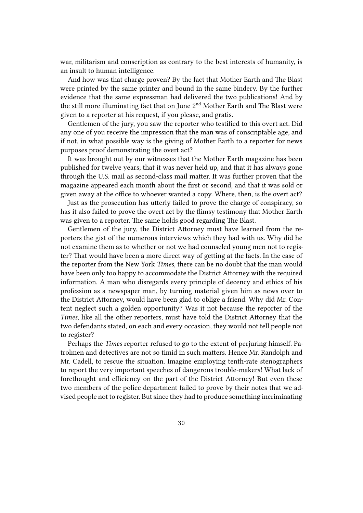war, militarism and conscription as contrary to the best interests of humanity, is an insult to human intelligence.

And how was that charge proven? By the fact that Mother Earth and The Blast were printed by the same printer and bound in the same bindery. By the further evidence that the same expressman had delivered the two publications! And by the still more illuminating fact that on June 2<sup>nd</sup> Mother Earth and The Blast were given to a reporter at his request, if you please, and gratis.

Gentlemen of the jury, you saw the reporter who testified to this overt act. Did any one of you receive the impression that the man was of conscriptable age, and if not, in what possible way is the giving of Mother Earth to a reporter for news purposes proof demonstrating the overt act?

It was brought out by our witnesses that the Mother Earth magazine has been published for twelve years; that it was never held up, and that it has always gone through the U.S. mail as second-class mail matter. It was further proven that the magazine appeared each month about the first or second, and that it was sold or given away at the office to whoever wanted a copy. Where, then, is the overt act?

Just as the prosecution has utterly failed to prove the charge of conspiracy, so has it also failed to prove the overt act by the flimsy testimony that Mother Earth was given to a reporter. The same holds good regarding The Blast.

Gentlemen of the jury, the District Attorney must have learned from the reporters the gist of the numerous interviews which they had with us. Why did he not examine them as to whether or not we had counseled young men not to register? That would have been a more direct way of getting at the facts. In the case of the reporter from the New York *Times*, there can be no doubt that the man would have been only too happy to accommodate the District Attorney with the required information. A man who disregards every principle of decency and ethics of his profession as a newspaper man, by turning material given him as news over to the District Attorney, would have been glad to oblige a friend. Why did Mr. Content neglect such a golden opportunity? Was it not because the reporter of the *Times*, like all the other reporters, must have told the District Attorney that the two defendants stated, on each and every occasion, they would not tell people not to register?

Perhaps the *Times* reporter refused to go to the extent of perjuring himself. Patrolmen and detectives are not so timid in such matters. Hence Mr. Randolph and Mr. Cadell, to rescue the situation. Imagine employing tenth-rate stenographers to report the very important speeches of dangerous trouble-makers! What lack of forethought and efficiency on the part of the District Attorney! But even these two members of the police department failed to prove by their notes that we advised people not to register. But since they had to produce something incriminating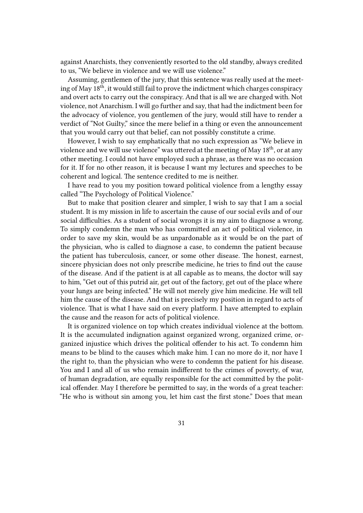against Anarchists, they conveniently resorted to the old standby, always credited to us, "We believe in violence and we will use violence."

Assuming, gentlemen of the jury, that this sentence was really used at the meeting of May 18th, it would still fail to prove the indictment which charges conspiracy and overt acts to carry out the conspiracy. And that is all we are charged with. Not violence, not Anarchism. I will go further and say, that had the indictment been for the advocacy of violence, you gentlemen of the jury, would still have to render a verdict of "Not Guilty," since the mere belief in a thing or even the announcement that you would carry out that belief, can not possibly constitute a crime.

However, I wish to say emphatically that no such expression as "We believe in violence and we will use violence" was uttered at the meeting of May  $18^{th}$ , or at any other meeting. I could not have employed such a phrase, as there was no occasion for it. If for no other reason, it is because I want my lectures and speeches to be coherent and logical. The sentence credited to me is neither.

I have read to you my position toward political violence from a lengthy essay called "The Psychology of Political Violence."

But to make that position clearer and simpler, I wish to say that I am a social student. It is my mission in life to ascertain the cause of our social evils and of our social difficulties. As a student of social wrongs it is my aim to diagnose a wrong. To simply condemn the man who has committed an act of political violence, in order to save my skin, would be as unpardonable as it would be on the part of the physician, who is called to diagnose a case, to condemn the patient because the patient has tuberculosis, cancer, or some other disease. The honest, earnest, sincere physician does not only prescribe medicine, he tries to find out the cause of the disease. And if the patient is at all capable as to means, the doctor will say to him, "Get out of this putrid air, get out of the factory, get out of the place where your lungs are being infected." He will not merely give him medicine. He will tell him the cause of the disease. And that is precisely my position in regard to acts of violence. That is what I have said on every platform. I have attempted to explain the cause and the reason for acts of political violence.

It is organized violence on top which creates individual violence at the bottom. It is the accumulated indignation against organized wrong, organized crime, organized injustice which drives the political offender to his act. To condemn him means to be blind to the causes which make him. I can no more do it, nor have I the right to, than the physician who were to condemn the patient for his disease. You and I and all of us who remain indifferent to the crimes of poverty, of war, of human degradation, are equally responsible for the act committed by the political offender. May I therefore be permitted to say, in the words of a great teacher: "He who is without sin among you, let him cast the first stone." Does that mean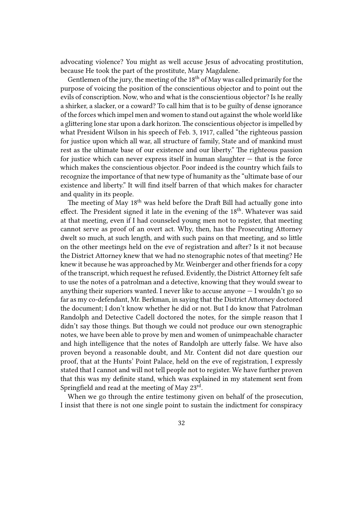advocating violence? You might as well accuse Jesus of advocating prostitution, because He took the part of the prostitute, Mary Magdalene.

Gentlemen of the jury, the meeting of the  $18<sup>th</sup>$  of May was called primarily for the purpose of voicing the position of the conscientious objector and to point out the evils of conscription. Now, who and what is the conscientious objector? Is he really a shirker, a slacker, or a coward? To call him that is to be guilty of dense ignorance of the forces which impel men and women to stand out against the whole world like a glittering lone star upon a dark horizon. The conscientious objector is impelled by what President Wilson in his speech of Feb. 3, 1917, called "the righteous passion for justice upon which all war, all structure of family, State and of mankind must rest as the ultimate base of our existence and our liberty." The righteous passion for justice which can never express itself in human slaughter  $-$  that is the force which makes the conscientious objector. Poor indeed is the country which fails to recognize the importance of that new type of humanity as the "ultimate base of our existence and liberty." It will find itself barren of that which makes for character and quality in its people.

The meeting of May  $18<sup>th</sup>$  was held before the Draft Bill had actually gone into effect. The President signed it late in the evening of the  $18<sup>th</sup>$ . Whatever was said at that meeting, even if I had counseled young men not to register, that meeting cannot serve as proof of an overt act. Why, then, has the Prosecuting Attorney dwelt so much, at such length, and with such pains on that meeting, and so little on the other meetings held on the eve of registration and after? Is it not because the District Attorney knew that we had no stenographic notes of that meeting? He knew it because he was approached by Mr. Weinberger and other friends for a copy of the transcript, which request he refused. Evidently, the District Attorney felt safe to use the notes of a patrolman and a detective, knowing that they would swear to anything their superiors wanted. I never like to accuse anyone — I wouldn't go so far as my co-defendant, Mr. Berkman, in saying that the District Attorney doctored the document; I don't know whether he did or not. But I do know that Patrolman Randolph and Detective Cadell doctored the notes, for the simple reason that I didn't say those things. But though we could not produce our own stenographic notes, we have been able to prove by men and women of unimpeachable character and high intelligence that the notes of Randolph are utterly false. We have also proven beyond a reasonable doubt, and Mr. Content did not dare question our proof, that at the Hunts' Point Palace, held on the eve of registration, I expressly stated that I cannot and will not tell people not to register. We have further proven that this was my definite stand, which was explained in my statement sent from Springfield and read at the meeting of May  $23^{\rm rd}$ .

When we go through the entire testimony given on behalf of the prosecution, I insist that there is not one single point to sustain the indictment for conspiracy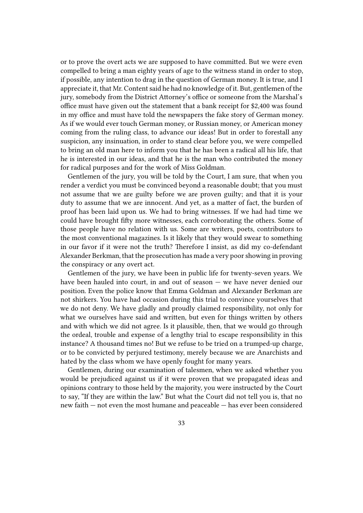or to prove the overt acts we are supposed to have committed. But we were even compelled to bring a man eighty years of age to the witness stand in order to stop, if possible, any intention to drag in the question of German money. It is true, and I appreciate it, that Mr. Content said he had no knowledge of it. But, gentlemen of the jury, somebody from the District Attorney's office or someone from the Marshal's office must have given out the statement that a bank receipt for \$2,400 was found in my office and must have told the newspapers the fake story of German money. As if we would ever touch German money, or Russian money, or American money coming from the ruling class, to advance our ideas! But in order to forestall any suspicion, any insinuation, in order to stand clear before you, we were compelled to bring an old man here to inform you that he has been a radical all his life, that he is interested in our ideas, and that he is the man who contributed the money for radical purposes and for the work of Miss Goldman.

Gentlemen of the jury, you will be told by the Court, I am sure, that when you render a verdict you must be convinced beyond a reasonable doubt; that you must not assume that we are guilty before we are proven guilty; and that it is your duty to assume that we are innocent. And yet, as a matter of fact, the burden of proof has been laid upon us. We had to bring witnesses. If we had had time we could have brought fifty more witnesses, each corroborating the others. Some of those people have no relation with us. Some are writers, poets, contributors to the most conventional magazines. Is it likely that they would swear to something in our favor if it were not the truth? Therefore I insist, as did my co-defendant Alexander Berkman, that the prosecution has made a very poor showing in proving the conspiracy or any overt act.

Gentlemen of the jury, we have been in public life for twenty-seven years. We have been hauled into court, in and out of season — we have never denied our position. Even the police know that Emma Goldman and Alexander Berkman are not shirkers. You have had occasion during this trial to convince yourselves that we do not deny. We have gladly and proudly claimed responsibility, not only for what we ourselves have said and written, but even for things written by others and with which we did not agree. Is it plausible, then, that we would go through the ordeal, trouble and expense of a lengthy trial to escape responsibility in this instance? A thousand times no! But we refuse to be tried on a trumped-up charge, or to be convicted by perjured testimony, merely because we are Anarchists and hated by the class whom we have openly fought for many years.

Gentlemen, during our examination of talesmen, when we asked whether you would be prejudiced against us if it were proven that we propagated ideas and opinions contrary to those held by the majority, you were instructed by the Court to say, "If they are within the law." But what the Court did not tell you is, that no new faith — not even the most humane and peaceable — has ever been considered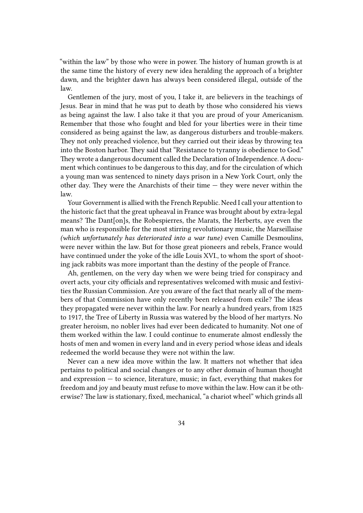"within the law" by those who were in power. The history of human growth is at the same time the history of every new idea heralding the approach of a brighter dawn, and the brighter dawn has always been considered illegal, outside of the law.

Gentlemen of the jury, most of you, I take it, are believers in the teachings of Jesus. Bear in mind that he was put to death by those who considered his views as being against the law. I also take it that you are proud of your Americanism. Remember that those who fought and bled for your liberties were in their time considered as being against the law, as dangerous disturbers and trouble-makers. They not only preached violence, but they carried out their ideas by throwing tea into the Boston harbor. They said that "Resistance to tyranny is obedience to God." They wrote a dangerous document called the Declaration of Independence. A document which continues to be dangerous to this day, and for the circulation of which a young man was sentenced to ninety days prison in a New York Court, only the other day. They were the Anarchists of their time  $-$  they were never within the law.

Your Government is allied with the French Republic. Need I call your attention to the historic fact that the great upheaval in France was brought about by extra-legal means? The Dant[on]s, the Robespierres, the Marats, the Herberts, aye even the man who is responsible for the most stirring revolutionary music, the Marseillaise *(which unfortunately has deteriorated into a war tune)* even Camille Desmoulins, were never within the law. But for those great pioneers and rebels, France would have continued under the yoke of the idle Louis XVI., to whom the sport of shooting jack rabbits was more important than the destiny of the people of France.

Ah, gentlemen, on the very day when we were being tried for conspiracy and overt acts, your city officials and representatives welcomed with music and festivities the Russian Commission. Are you aware of the fact that nearly all of the members of that Commission have only recently been released from exile? The ideas they propagated were never within the law. For nearly a hundred years, from 1825 to 1917, the Tree of Liberty in Russia was watered by the blood of her martyrs. No greater heroism, no nobler lives had ever been dedicated to humanity. Not one of them worked within the law. I could continue to enumerate almost endlessly the hosts of men and women in every land and in every period whose ideas and ideals redeemed the world because they were not within the law.

Never can a new idea move within the law. It matters not whether that idea pertains to political and social changes or to any other domain of human thought and expression  $-$  to science, literature, music; in fact, everything that makes for freedom and joy and beauty must refuse to move within the law. How can it be otherwise? The law is stationary, fixed, mechanical, "a chariot wheel" which grinds all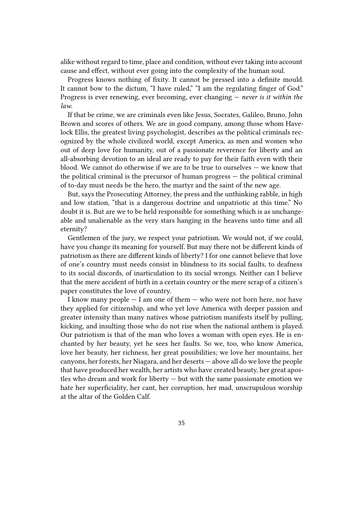alike without regard to time, place and condition, without ever taking into account cause and effect, without ever going into the complexity of the human soul.

Progress knows nothing of fixity. It cannot be pressed into a definite mould. It cannot bow to the dictum, "I have ruled," "I am the regulating finger of God." Progress is ever renewing, ever becoming, ever changing — *never is it within the law*.

If that be crime, we are criminals even like Jesus, Socrates, Galileo, Bruno, John Brown and scores of others. We are in good company, among those whom Havelock Ellis, the greatest living psychologist, describes as the political criminals recognized by the whole civilized world, except America, as men and women who out of deep love for humanity, out of a passionate reverence for liberty and an all-absorbing devotion to an ideal are ready to pay for their faith even with their blood. We cannot do otherwise if we are to be true to ourselves — we know that the political criminal is the precursor of human progress — the political criminal of to-day must needs be the hero, the martyr and the saint of the new age.

But, says the Prosecuting Attorney, the press and the unthinking rabble, in high and low station, "that is a dangerous doctrine and unpatriotic at this time." No doubt it is. But are we to be held responsible for something which is as unchangeable and unalienable as the very stars hanging in the heavens unto time and all eternity?

Gentlemen of the jury, we respect your patriotism. We would not, if we could, have you change its meaning for yourself. But may there not be different kinds of patriotism as there are different kinds of liberty? I for one cannot believe that love of one's country must needs consist in blindness to its social faults, to deafness to its social discords, of inarticulation to its social wrongs. Neither can I believe that the mere accident of birth in a certain country or the mere scrap of a citizen's paper constitutes the love of country.

I know many people  $-$  I am one of them  $-$  who were not born here, nor have they applied for citizenship, and who yet love America with deeper passion and greater intensity than many natives whose patriotism manifests itself by pulling, kicking, and insulting those who do not rise when the national anthem is played. Our patriotism is that of the man who loves a woman with open eyes. He is enchanted by her beauty, yet he sees her faults. So we, too, who know America, love her beauty, her richness, her great possibilities; we love her mountains, her canyons, her forests, her Niagara, and her deserts — above all do we love the people that have produced her wealth, her artists who have created beauty, her great apostles who dream and work for liberty — but with the same passionate emotion we hate her superficiality, her cant, her corruption, her mad, unscrupulous worship at the altar of the Golden Calf.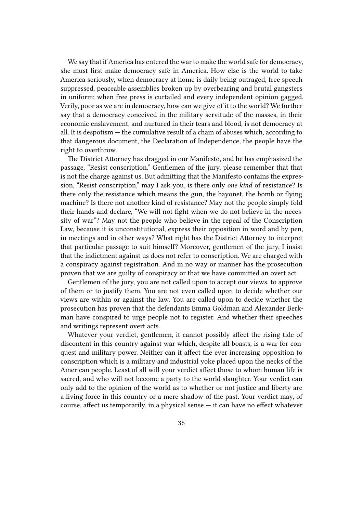We say that if America has entered the war to make the world safe for democracy, she must first make democracy safe in America. How else is the world to take America seriously, when democracy at home is daily being outraged, free speech suppressed, peaceable assemblies broken up by overbearing and brutal gangsters in uniform; when free press is curtailed and every independent opinion gagged. Verily, poor as we are in democracy, how can we give of it to the world? We further say that a democracy conceived in the military servitude of the masses, in their economic enslavement, and nurtured in their tears and blood, is not democracy at all. It is despotism — the cumulative result of a chain of abuses which, according to that dangerous document, the Declaration of Independence, the people have the right to overthrow.

The District Attorney has dragged in our Manifesto, and he has emphasized the passage, "Resist conscription." Gentlemen of the jury, please remember that that is not the charge against us. But admitting that the Manifesto contains the expression, "Resist conscription," may I ask you, is there only *one kind* of resistance? Is there only the resistance which means the gun, the bayonet, the bomb or flying machine? Is there not another kind of resistance? May not the people simply fold their hands and declare, "We will not fight when we do not believe in the necessity of war"? May not the people who believe in the repeal of the Conscription Law, because it is unconstitutional, express their opposition in word and by pen, in meetings and in other ways? What right has the District Attorney to interpret that particular passage to suit himself? Moreover, gentlemen of the jury, I insist that the indictment against us does not refer to conscription. We are charged with a conspiracy against registration. And in no way or manner has the prosecution proven that we are guilty of conspiracy or that we have committed an overt act.

Gentlemen of the jury, you are not called upon to accept our views, to approve of them or to justify them. You are not even called upon to decide whether our views are within or against the law. You are called upon to decide whether the prosecution has proven that the defendants Emma Goldman and Alexander Berkman have conspired to urge people not to register. And whether their speeches and writings represent overt acts.

Whatever your verdict, gentlemen, it cannot possibly affect the rising tide of discontent in this country against war which, despite all boasts, is a war for conquest and military power. Neither can it affect the ever increasing opposition to conscription which is a military and industrial yoke placed upon the necks of the American people. Least of all will your verdict affect those to whom human life is sacred, and who will not become a party to the world slaughter. Your verdict can only add to the opinion of the world as to whether or not justice and liberty are a living force in this country or a mere shadow of the past. Your verdict may, of course, affect us temporarily, in a physical sense — it can have no effect whatever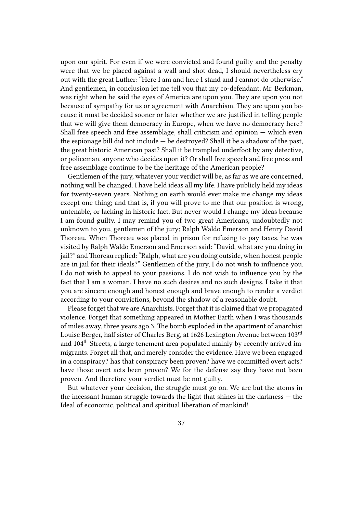upon our spirit. For even if we were convicted and found guilty and the penalty were that we be placed against a wall and shot dead, I should nevertheless cry out with the great Luther: "Here I am and here I stand and I cannot do otherwise." And gentlemen, in conclusion let me tell you that my co-defendant, Mr. Berkman, was right when he said the eyes of America are upon you. They are upon you not because of sympathy for us or agreement with Anarchism. They are upon you because it must be decided sooner or later whether we are justified in telling people that we will give them democracy in Europe, when we have no democracy here? Shall free speech and free assemblage, shall criticism and opinion  $-$  which even the espionage bill did not include — be destroyed? Shall it be a shadow of the past, the great historic American past? Shall it be trampled underfoot by any detective, or policeman, anyone who decides upon it? Or shall free speech and free press and free assemblage continue to be the heritage of the American people?

Gentlemen of the jury, whatever your verdict will be, as far as we are concerned, nothing will be changed. I have held ideas all my life. I have publicly held my ideas for twenty-seven years. Nothing on earth would ever make me change my ideas except one thing; and that is, if you will prove to me that our position is wrong, untenable, or lacking in historic fact. But never would I change my ideas because I am found guilty. I may remind you of two great Americans, undoubtedly not unknown to you, gentlemen of the jury; Ralph Waldo Emerson and Henry David Thoreau. When Thoreau was placed in prison for refusing to pay taxes, he was visited by Ralph Waldo Emerson and Emerson said: "David, what are you doing in jail?" and Thoreau replied: "Ralph, what are you doing outside, when honest people are in jail for their ideals?" Gentlemen of the jury, I do not wish to influence you. I do not wish to appeal to your passions. I do not wish to influence you by the fact that I am a woman. I have no such desires and no such designs. I take it that you are sincere enough and honest enough and brave enough to render a verdict according to your convictions, beyond the shadow of a reasonable doubt.

Please forget that we are Anarchists. Forget that it is claimed that we propagated violence. Forget that something appeared in Mother Earth when I was thousands of miles away, three years ago.3. The bomb exploded in the apartment of anarchist Louise Berger, half sister of Charles Berg, at 1626 Lexington Avenue between 103rd and 104<sup>th</sup> Streets, a large tenement area populated mainly by recently arrived immigrants. Forget all that, and merely consider the evidence. Have we been engaged in a conspiracy? has that conspiracy been proven? have we committed overt acts? have those overt acts been proven? We for the defense say they have not been proven. And therefore your verdict must be not guilty.

But whatever your decision, the struggle must go on. We are but the atoms in the incessant human struggle towards the light that shines in the darkness — the Ideal of economic, political and spiritual liberation of mankind!